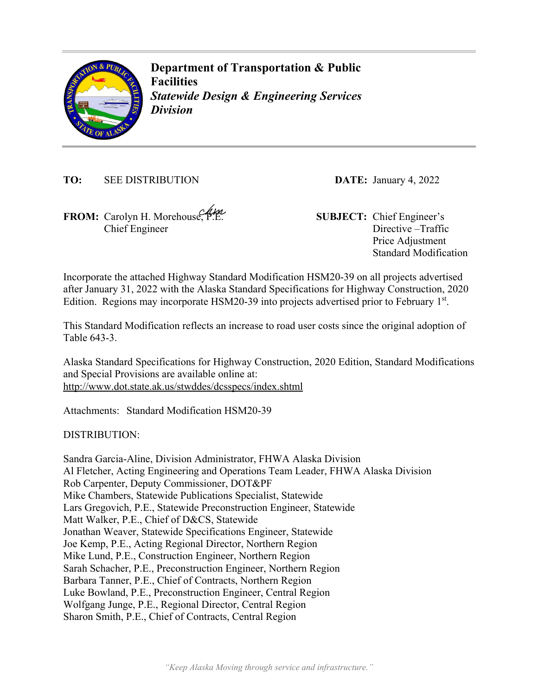

**Department of Transportation & Public Facilities**  *Statewide Design & Engineering Services Division* 

**TO:** SEE DISTRIBUTION **DATE:** January 4, 2022

**FROM:** Carolyn H. Morehouse, P.E. **SUBJECT:** Chief Engineer's Chief Engineer

Directive –Traffic Price Adjustment Standard Modification

Incorporate the attached Highway Standard Modification HSM20-39 on all projects advertised after January 31, 2022 with the Alaska Standard Specifications for Highway Construction, 2020 Edition. Regions may incorporate HSM20-39 into projects advertised prior to February 1<sup>st</sup>.

This Standard Modification reflects an increase to road user costs since the original adoption of Table 643-3.

Alaska Standard Specifications for Highway Construction, 2020 Edition, Standard Modifications and Special Provisions are available online at: http://www.dot.state.ak.us/stwddes/dcsspecs/index.shtml

Attachments: Standard Modification HSM20-39

DISTRIBUTION:

Sandra Garcia-Aline, Division Administrator, FHWA Alaska Division Al Fletcher, Acting Engineering and Operations Team Leader, FHWA Alaska Division Rob Carpenter, Deputy Commissioner, DOT&PF Mike Chambers, Statewide Publications Specialist, Statewide Lars Gregovich, P.E., Statewide Preconstruction Engineer, Statewide Matt Walker, P.E., Chief of D&CS, Statewide Jonathan Weaver, Statewide Specifications Engineer, Statewide Joe Kemp, P.E., Acting Regional Director, Northern Region Mike Lund, P.E., Construction Engineer, Northern Region Sarah Schacher, P.E., Preconstruction Engineer, Northern Region Barbara Tanner, P.E., Chief of Contracts, Northern Region Luke Bowland, P.E., Preconstruction Engineer, Central Region Wolfgang Junge, P.E., Regional Director, Central Region Sharon Smith, P.E., Chief of Contracts, Central Region